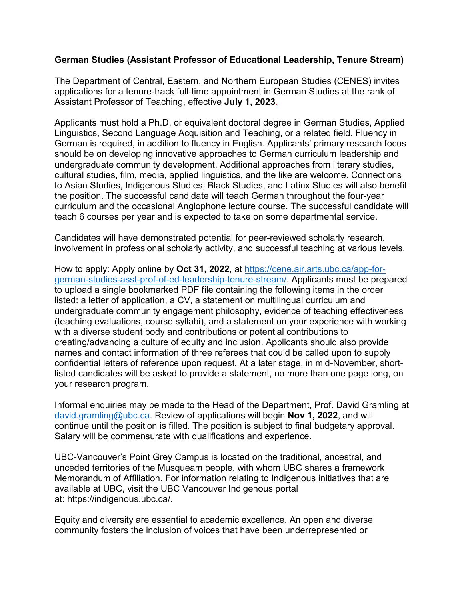## **German Studies (Assistant Professor of Educational Leadership, Tenure Stream)**

The Department of Central, Eastern, and Northern European Studies (CENES) invites applications for a tenure-track full-time appointment in German Studies at the rank of Assistant Professor of Teaching, effective **July 1, 2023**.

Applicants must hold a Ph.D. or equivalent doctoral degree in German Studies, Applied Linguistics, Second Language Acquisition and Teaching, or a related field. Fluency in German is required, in addition to fluency in English. Applicants' primary research focus should be on developing innovative approaches to German curriculum leadership and undergraduate community development. Additional approaches from literary studies, cultural studies, film, media, applied linguistics, and the like are welcome. Connections to Asian Studies, Indigenous Studies, Black Studies, and Latinx Studies will also benefit the position. The successful candidate will teach German throughout the four-year curriculum and the occasional Anglophone lecture course. The successful candidate will teach 6 courses per year and is expected to take on some departmental service.

Candidates will have demonstrated potential for peer-reviewed scholarly research, involvement in professional scholarly activity, and successful teaching at various levels.

How to apply: Apply online by **Oct 31, 2022**, at [https://cene.air.arts.ubc.ca/app-for](https://cene.air.arts.ubc.ca/app-for-german-studies-asst-prof-of-ed-leadership-tenure-stream/)[german-studies-asst-prof-of-ed-leadership-tenure-stream/.](https://cene.air.arts.ubc.ca/app-for-german-studies-asst-prof-of-ed-leadership-tenure-stream/) Applicants must be prepared to upload a single bookmarked PDF file containing the following items in the order listed: a letter of application, a CV, a statement on multilingual curriculum and undergraduate community engagement philosophy, evidence of teaching effectiveness (teaching evaluations, course syllabi), and a statement on your experience with working with a diverse student body and contributions or potential contributions to creating/advancing a culture of equity and inclusion. Applicants should also provide names and contact information of three referees that could be called upon to supply confidential letters of reference upon request. At a later stage, in mid-November, shortlisted candidates will be asked to provide a statement, no more than one page long, on your research program.

Informal enquiries may be made to the Head of the Department, Prof. David Gramling at [david.gramling@ubc.ca.](mailto:david.gramling@ubc.ca) Review of applications will begin **Nov 1, 2022**, and will continue until the position is filled. The position is subject to final budgetary approval. Salary will be commensurate with qualifications and experience.

UBC-Vancouver's Point Grey Campus is located on the traditional, ancestral, and unceded territories of the Musqueam people, with whom UBC shares a framework Memorandum of Affiliation. For information relating to Indigenous initiatives that are available at UBC, visit the UBC Vancouver Indigenous portal at: https://indigenous.ubc.ca/.

Equity and diversity are essential to academic excellence. An open and diverse community fosters the inclusion of voices that have been underrepresented or